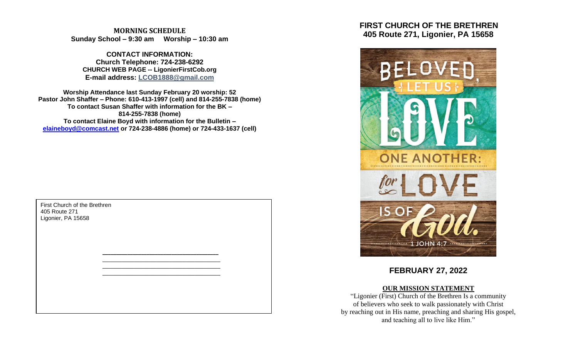**MORNING SCHEDULE Sunday School – 9:30 am Worship – 10:30 am**

**CONTACT INFORMATION: Church Telephone: 724-238-6292 CHURCH WEB PAGE -- LigonierFirstCob.org E-mail address: LCOB1888@gmail.com**

**Worship Attendance last Sunday February 20 worship: 52 Pastor John Shaffer – Phone: 610-413-1997 (cell) and 814-255-7838 (home) To contact Susan Shaffer with information for the BK – 814-255-7838 (home) To contact Elaine Boyd with information for the Bulletin – [elaineboyd@comcast.net](mailto:elaineboyd@comcast.net) or 724-238-4886 (home) or 724-433-1637 (cell)**

> **\_\_\_\_\_\_\_\_\_\_\_\_\_\_\_\_\_\_\_\_\_\_\_\_\_\_\_\_\_\_\_\_\_\_\_\_\_\_\_\_\_\_** \_\_\_\_\_\_\_\_\_\_\_\_\_\_\_\_\_\_\_\_\_\_\_\_\_\_\_\_\_\_\_\_\_\_\_\_\_ \_\_\_\_\_\_\_\_\_\_\_\_\_\_\_\_\_\_\_\_\_\_\_\_\_\_\_\_\_\_\_\_\_\_\_\_\_ \_\_\_\_\_\_\_\_\_\_\_\_\_\_\_\_\_\_\_\_\_\_\_\_\_\_\_\_\_\_\_\_\_\_\_\_\_

First Church of the Brethren 405 Route 271 Ligonier, PA 15658

 **FIRST CHURCH OF THE BRETHREN 405 Route 271, Ligonier, PA 15658**



**FEBRUARY 27, 2022**

#### **OUR MISSION STATEMENT**

"Ligonier (First) Church of the Brethren Is a community of believers who seek to walk passionately with Christ by reaching out in His name, preaching and sharing His gospel, and teaching all to live like Him."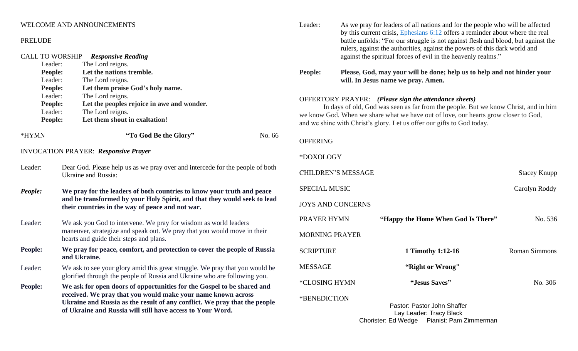# WELCOME AND ANNOUNCEMENTS

#### PRELUDE

| <b>CALL TO WORSHIP</b><br>Leader:<br>People:<br>Leader:<br>People:<br>Leader:<br>People:<br>Leader:<br>People: | <b>Responsive Reading</b><br>The Lord reigns.<br>Let the nations tremble.<br>The Lord reigns.<br>Let them praise God's holy name.<br>The Lord reigns.<br>Let the peoples rejoice in awe and wonder.<br>The Lord reigns.<br>Let them shout in exaltation!                          |  |  |
|----------------------------------------------------------------------------------------------------------------|-----------------------------------------------------------------------------------------------------------------------------------------------------------------------------------------------------------------------------------------------------------------------------------|--|--|
| *HYMN                                                                                                          | "To God Be the Glory"<br>No. 66                                                                                                                                                                                                                                                   |  |  |
| <b>INVOCATION PRAYER: Responsive Prayer</b>                                                                    |                                                                                                                                                                                                                                                                                   |  |  |
| Leader:                                                                                                        | Dear God. Please help us as we pray over and intercede for the people of both<br><b>Ukraine and Russia:</b>                                                                                                                                                                       |  |  |
| People:                                                                                                        | We pray for the leaders of both countries to know your truth and peace<br>and be transformed by your Holy Spirit, and that they would seek to lead<br>their countries in the way of peace and not war.                                                                            |  |  |
| Leader:                                                                                                        | We ask you God to intervene. We pray for wisdom as world leaders<br>maneuver, strategize and speak out. We pray that you would move in their<br>hearts and guide their steps and plans.                                                                                           |  |  |
| People:                                                                                                        | We pray for peace, comfort, and protection to cover the people of Russia<br>and Ukraine.                                                                                                                                                                                          |  |  |
| Leader:                                                                                                        | We ask to see your glory amid this great struggle. We pray that you would be<br>glorified through the people of Russia and Ukraine who are following you.                                                                                                                         |  |  |
| People:                                                                                                        | We ask for open doors of opportunities for the Gospel to be shared and<br>received. We pray that you would make your name known across<br>Ukraine and Russia as the result of any conflict. We pray that the people<br>of Ukraine and Russia will still have access to Your Word. |  |  |

Leader: As we pray for leaders of all nations and for the people who will be affected by this current crisis, [Ephesians 6:12](https://bibleportal.com/verse-topic?version=NIV&v=Ephesians%206:12) offers a reminder about where the real battle unfolds: "For our struggle is not against flesh and blood, but against the rulers, against the authorities, against the powers of this dark world and against the spiritual forces of evil in the heavenly realms."

**People: Please, God, may your will be done; help us to help and not hinder your will. In Jesus name we pray. Amen.**

# OFFERTORY PRAYER: *(Please sign the attendance sheets)*

In days of old, God was seen as far from the people. But we know Christ, and in him we know God. When we share what we have out of love, our hearts grow closer to God, and we shine with Christ's glory. Let us offer our gifts to God today.

# OFFERING

## \*DOXOLOGY

| <b>CHILDREN'S MESSAGE</b> |                                                        | <b>Stacey Knupp</b>  |
|---------------------------|--------------------------------------------------------|----------------------|
| <b>SPECIAL MUSIC</b>      |                                                        | Carolyn Roddy        |
| <b>JOYS AND CONCERNS</b>  |                                                        |                      |
| PRAYER HYMN               | "Happy the Home When God Is There"                     | No. 536              |
| <b>MORNING PRAYER</b>     |                                                        |                      |
| <b>SCRIPTURE</b>          | 1 Timothy 1:12-16                                      | <b>Roman Simmons</b> |
| MESSAGE                   | "Right or Wrong"                                       |                      |
| *CLOSING HYMN             | "Jesus Saves"                                          | No. 306              |
| *BENEDICTION              | Pastor: Pastor John Shaffer<br>Lay Leader: Tracy Black |                      |

Chorister: Ed Wedge Pianist: Pam Zimmerman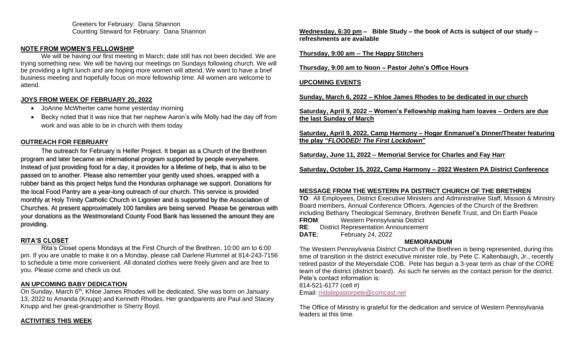Greeters for February: Dana Shannon Counting Steward for February: Dana Shannon

# **NOTE FROM WOMEN'S FELLOWSHIP**

We will be having our first meeting in March; date still has not been decided. We are trying something new. We will be having our meetings on Sundays following church. We will be providing a light lunch and are hoping more women will attend. We want to have a brief business meeting and hopefully focus on more fellowship time. All women are welcome to attend.

# **JOYS FROM WEEK OF FEBRUARY 20, 2022**

- JoAnne McWherter came home yesterday morning
- Becky noted that it was nice that her nephew Aaron's wife Molly had the day off from work and was able to be in church with them today

# **OUTREACH FOR FEBRUARY**

The outreach for February is Heifer Project. It began as a Church of the Brethren program and later became an international program supported by people everywhere. Instead of just providing food for a day, it provides for a lifetime of help, that is also to be passed on to another. Please also remember your gently used shoes, wrapped with a rubber band as this project helps fund the Honduras orphanage we support. Donations for the local Food Pantry are a year-long outreach of our church. This service is provided monthly at Holy Trinity Catholic Church in Ligonier and is supported by the Association of Churches. At present approximately 100 families are being served. Please be generous with your donations as the Westmoreland County Food Bank has lessened the amount they are providing.

# **RITA'S CLOSET**

Rita's Closet opens Mondays at the First Church of the Brethren, 10:00 am to 6:00 pm. If you are unable to make it on a Monday, please call Darlene Rummel at 814-243-7156 to schedule a time more convenient. All donated clothes were freely given and are free to you. Please come and check us out.

#### **AN UPCOMING BABY DEDICATION**

On Sunday, March 6<sup>th</sup>, Khloe James Rhodes will be dedicated. She was born on January 13, 2022 to Amanda (Knupp) and Kenneth Rhodes. Her grandparents are Paul and Stacey Knupp and her great-grandmother is Sherry Boyd.

# **ACTIVITIES THIS WEEK**

**Wednesday, 6:30 pm – Bible Study – the book of Acts is subject of our study – refreshments are available**

## **Thursday, 9:00 am -- The Happy Stitchers**

**Thursday, 9:00 am to Noon – Pastor John's Office Hours**

# **UPCOMING EVENTS**

**Sunday, March 6, 2022 – Khloe James Rhodes to be dedicated in our church**

**Saturday, April 9, 2022 – Women's Fellowship making ham loaves – Orders are due the last Sunday of March**

**Saturday, April 9, 2022, Camp Harmony – Hogar Enmanuel's Dinner/Theater featuring the play "***FLOODED! The First Lockdown***"**

**Saturday, June 11, 2022 – Memorial Service for Charles and Fay Harr**

**Saturday, October 15, 2022, Camp Harmony – 2022 Western PA District Conference**

# **MESSAGE FROM THE WESTERN PA DISTRICT CHURCH OF THE BRETHREN**

**TO**: All Employees, District Executive Ministers and Administrative Staff, Mission & Ministry Board members, Annual Conference Officers, Agencies of the Church of the Brethren including Bethany Theological Seminary, Brethren Benefit Trust, and On Earth Peace **FROM:** Western Pennsylvania District **RE**: District Representation Announcement

**DATE**: February 24, 2022

# **MEMORANDUM**

The Western Pennsylvania District Church of the Brethren is being represented, during this time of transition in the district executive minister role, by Pete C. Kaltenbaugh, Jr., recently retired pastor of the Meyersdale COB. Pete has begun a 3-year term as chair of the CORE team of the district (district board). As such he serves as the contact person for the district. Pete's contact information is:

814-521-6177 (cell #)

Email: [mdalepastorpete@comcast.net](mailto:mdalepastorpete@comcast.net)

The Office of Ministry is grateful for the dedication and service of Western Pennsylvania leaders at this time.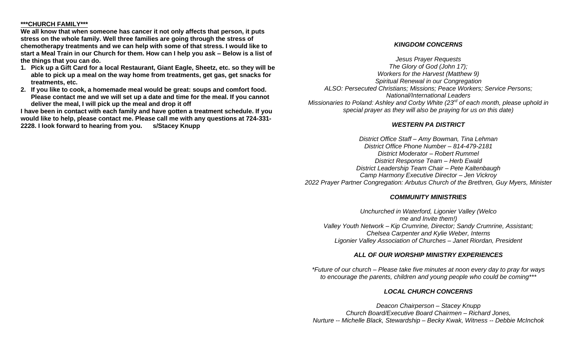#### **\*\*\*CHURCH FAMILY\*\*\***

**We all know that when someone has cancer it not only affects that person, it puts stress on the whole family. Well three families are going through the stress of chemotherapy treatments and we can help with some of that stress. I would like to start a Meal Train in our Church for them. How can I help you ask – Below is a list of the things that you can do.**

- **1. Pick up a Gift Card for a local Restaurant, Giant Eagle, Sheetz, etc. so they will be able to pick up a meal on the way home from treatments, get gas, get snacks for treatments, etc.**
- **2. If you like to cook, a homemade meal would be great: soups and comfort food. Please contact me and we will set up a date and time for the meal. If you cannot deliver the meal, I will pick up the meal and drop it off**

**I have been in contact with each family and have gotten a treatment schedule. If you would like to help, please contact me. Please call me with any questions at 724-331- 2228. I look forward to hearing from you. s/Stacey Knupp**

#### *KINGDOM CONCERNS*

*Jesus Prayer Requests The Glory of God (John 17); Workers for the Harvest (Matthew 9) Spiritual Renewal in our Congregation ALSO: Persecuted Christians; Missions; Peace Workers; Service Persons; National/International Leaders Missionaries to Poland: Ashley and Corby White (23rd of each month, please uphold in special prayer as they will also be praying for us on this date)*

#### *WESTERN PA DISTRICT*

*District Office Staff – Amy Bowman, Tina Lehman District Office Phone Number – 814-479-2181 District Moderator – Robert Rummel District Response Team – Herb Ewald District Leadership Team Chair – Pete Kaltenbaugh Camp Harmony Executive Director – Jen Vickroy 2022 Prayer Partner Congregation: Arbutus Church of the Brethren, Guy Myers, Minister*

#### *COMMUNITY MINISTRIES*

*Unchurched in Waterford, Ligonier Valley (Welco me and Invite them!) Valley Youth Network – Kip Crumrine, Director; Sandy Crumrine, Assistant; Chelsea Carpenter and Kylie Weber, Interns Ligonier Valley Association of Churches – Janet Riordan, President*

#### *ALL OF OUR WORSHIP MINISTRY EXPERIENCES*

*\*Future of our church – Please take five minutes at noon every day to pray for ways to encourage the parents, children and young people who could be coming\*\*\**

#### *LOCAL CHURCH CONCERNS*

*Deacon Chairperson – Stacey Knupp Church Board/Executive Board Chairmen – Richard Jones, Nurture -- Michelle Black, Stewardship – Becky Kwak, Witness -- Debbie McInchok*